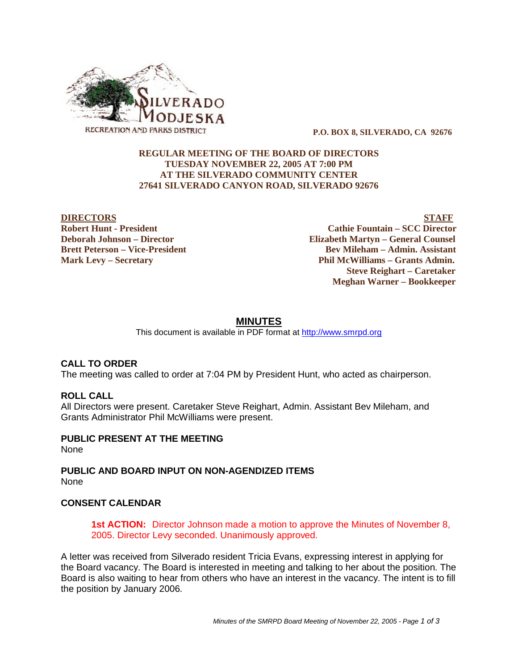

 **P.O. BOX 8, SILVERADO, CA 92676**

# **REGULAR MEETING OF THE BOARD OF DIRECTORS TUESDAY NOVEMBER 22, 2005 AT 7:00 PM AT THE SILVERADO COMMUNITY CENTER 27641 SILVERADO CANYON ROAD, SILVERADO 92676**

**DIRECTORS** STAFF **Robert Hunt - President Cathie Fountain – SCC Director Deborah Johnson – Director Elizabeth Martyn – General Counsel Brett Peterson – Vice-President Electronic State Bev Mileham – Admin. Assistant Mark Levy – Secretary Phil McWilliams – Grants Admin. Steve Reighart – Caretaker Meghan Warner – Bookkeeper**

# **MINUTES**

This document is available in PDF format at http://www.smrpd.org

# **CALL TO ORDER**

The meeting was called to order at 7:04 PM by President Hunt, who acted as chairperson.

# **ROLL CALL**

All Directors were present. Caretaker Steve Reighart, Admin. Assistant Bev Mileham, and Grants Administrator Phil McWilliams were present.

#### **PUBLIC PRESENT AT THE MEETING** None

**PUBLIC AND BOARD INPUT ON NON-AGENDIZED ITEMS** None

# **CONSENT CALENDAR**

**1st ACTION:** Director Johnson made a motion to approve the Minutes of November 8, 2005. Director Levy seconded. Unanimously approved.

A letter was received from Silverado resident Tricia Evans, expressing interest in applying for the Board vacancy. The Board is interested in meeting and talking to her about the position. The Board is also waiting to hear from others who have an interest in the vacancy. The intent is to fill the position by January 2006.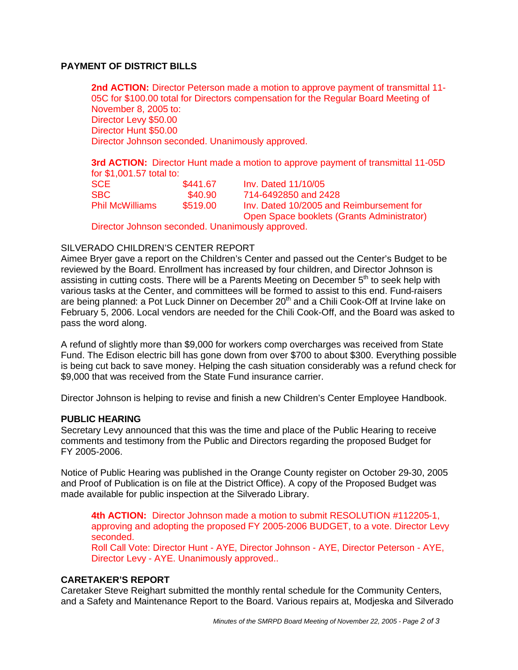# **PAYMENT OF DISTRICT BILLS**

**2nd ACTION:** Director Peterson made a motion to approve payment of transmittal 11- 05C for \$100.00 total for Directors compensation for the Regular Board Meeting of November 8, 2005 to: Director Levy \$50.00 Director Hunt \$50.00 Director Johnson seconded. Unanimously approved.

**3rd ACTION:** Director Hunt made a motion to approve payment of transmittal 11-05D for \$1,001.57 total to:

| <b>SCE</b>             | \$441.67 | Inv. Dated 11/10/05                        |
|------------------------|----------|--------------------------------------------|
| SBC.                   | \$40.90  | 714-6492850 and 2428                       |
| <b>Phil McWilliams</b> | \$519.00 | Inv. Dated 10/2005 and Reimbursement for   |
|                        |          | Open Space booklets (Grants Administrator) |

Director Johnson seconded. Unanimously approved.

# SILVERADO CHILDREN'S CENTER REPORT

Aimee Bryer gave a report on the Children's Center and passed out the Center's Budget to be reviewed by the Board. Enrollment has increased by four children, and Director Johnson is assisting in cutting costs. There will be a Parents Meeting on December 5<sup>th</sup> to seek help with various tasks at the Center, and committees will be formed to assist to this end. Fund-raisers are being planned: a Pot Luck Dinner on December  $20<sup>th</sup>$  and a Chili Cook-Off at Irvine lake on February 5, 2006. Local vendors are needed for the Chili Cook-Off, and the Board was asked to pass the word along.

A refund of slightly more than \$9,000 for workers comp overcharges was received from State Fund. The Edison electric bill has gone down from over \$700 to about \$300. Everything possible is being cut back to save money. Helping the cash situation considerably was a refund check for \$9,000 that was received from the State Fund insurance carrier.

Director Johnson is helping to revise and finish a new Children's Center Employee Handbook.

### **PUBLIC HEARING**

Secretary Levy announced that this was the time and place of the Public Hearing to receive comments and testimony from the Public and Directors regarding the proposed Budget for FY 2005-2006.

Notice of Public Hearing was published in the Orange County register on October 29-30, 2005 and Proof of Publication is on file at the District Office). A copy of the Proposed Budget was made available for public inspection at the Silverado Library.

**4th ACTION:** Director Johnson made a motion to submit RESOLUTION #112205-1, approving and adopting the proposed FY 2005-2006 BUDGET, to a vote. Director Levy seconded. Roll Call Vote: Director Hunt - AYE, Director Johnson - AYE, Director Peterson - AYE, Director Levy - AYE. Unanimously approved..

#### **CARETAKER'S REPORT**

Caretaker Steve Reighart submitted the monthly rental schedule for the Community Centers, and a Safety and Maintenance Report to the Board. Various repairs at, Modjeska and Silverado